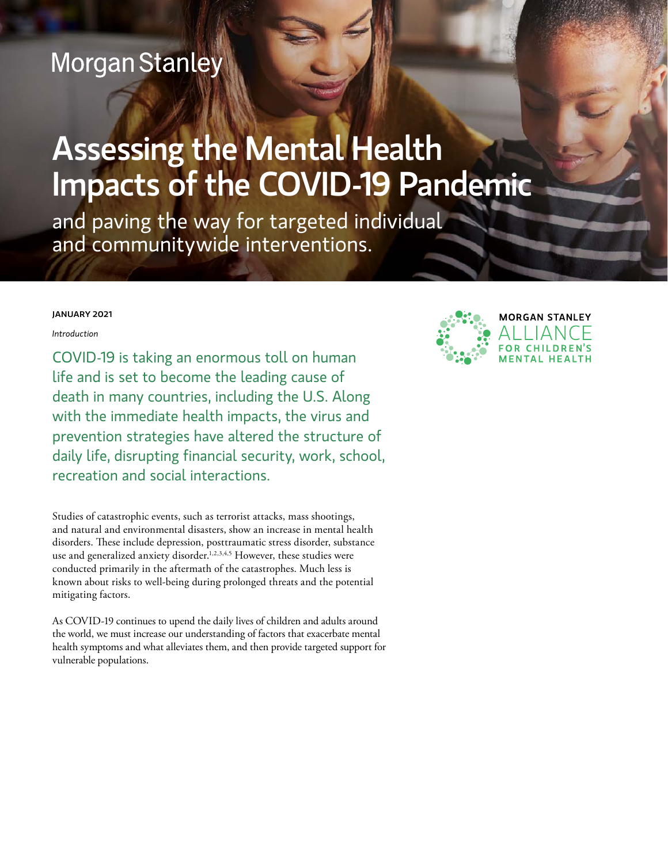# **Morgan Stanley**

# Assessing the Mental Health Impacts of the COVID-19 Pandemic

and paving the way for targeted individual and communitywide interventions.

#### JANUARY 2021

*Introduction* 

COVID-19 is taking an enormous toll on human life and is set to become the leading cause of death in many countries, including the U.S. Along with the immediate health impacts, the virus and prevention strategies have altered the structure of daily life, disrupting financial security, work, school, recreation and social interactions.

Studies of catastrophic events, such as terrorist attacks, mass shootings, and natural and environmental disasters, show an increase in mental health disorders. These include depression, posttraumatic stress disorder, substance use and generalized anxiety disorder.<sup>1,2,3,4,5</sup> However, these studies were conducted primarily in the aftermath of the catastrophes. Much less is known about risks to well-being during prolonged threats and the potential mitigating factors.

As COVID-19 continues to upend the daily lives of children and adults around the world, we must increase our understanding of factors that exacerbate mental health symptoms and what alleviates them, and then provide targeted support for vulnerable populations.

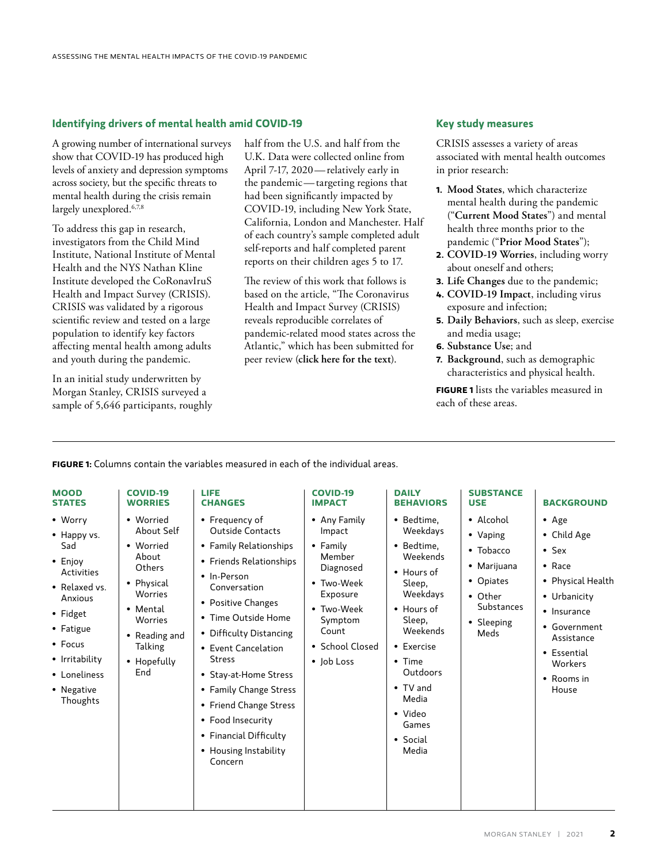#### **Identifying drivers of mental health amid COVID-19**

A growing number of international surveys show that COVID-19 has produced high levels of anxiety and depression symptoms across society, but the specific threats to mental health during the crisis remain largely unexplored.<sup>6,7,8</sup>

To address this gap in research, investigators from the Child Mind Institute, National Institute of Mental Health and the NYS Nathan Kline Institute developed the CoRonavIruS Health and Impact Survey (CRISIS). CRISIS was validated by a rigorous scientific review and tested on a large population to identify key factors affecting mental health among adults and youth during the pandemic.

In an initial study underwritten by Morgan Stanley, CRISIS surveyed a sample of 5,646 participants, roughly half from the U.S. and half from the U.K. Data were collected online from April 7-17, 2020—relatively early in the pandemic—targeting regions that had been significantly impacted by COVID-19, including New York State, California, London and Manchester. Half of each country's sample completed adult self-reports and half completed parent reports on their children ages 5 to 17.

The review of this work that follows is based on the article, "The Coronavirus Health and Impact Survey (CRISIS) reveals reproducible correlates of pandemic-related mood states across the Atlantic," which has been submitted for peer review (**click [here](https://www.medrxiv.org/content/10.1101/2020.08.24.20181123v1) for the text**).

#### **Key study measures**

CRISIS assesses a variety of areas associated with mental health outcomes in prior research:

- **1.  Mood States**, which characterize mental health during the pandemic ("**Current Mood States**") and mental health three months prior to the pandemic ("**Prior Mood States**");
- **2.  COVID-19 Worries**, including worry about oneself and others;
- **3.  Life Changes** due to the pandemic;
- **4.  COVID-19 Impact**, including virus exposure and infection;
- **5.  Daily Behaviors**, such as sleep, exercise and media usage;
- **6.  Substance Use**; and
- **7.  Background**, such as demographic characteristics and physical health.

**FIGURE 1** lists the variables measured in each of these areas.

**FIGURE 1:** Columns contain the variables measured in each of the individual areas.

| <b>MOOD</b>                                                                                                                                                                                | <b>COVID-19</b>                                                                                                                                           | <b>LIFE</b>                                                                                                                                                                                                                                                                                                                                                                                                   | <b>COVID-19</b>                                                                                                                                        | <b>DAILY</b>                                                                                                                                                                                                                                       | <b>SUBSTANCE</b>                                                                                                      | <b>BACKGROUND</b>                                                                                                                                                                                  |
|--------------------------------------------------------------------------------------------------------------------------------------------------------------------------------------------|-----------------------------------------------------------------------------------------------------------------------------------------------------------|---------------------------------------------------------------------------------------------------------------------------------------------------------------------------------------------------------------------------------------------------------------------------------------------------------------------------------------------------------------------------------------------------------------|--------------------------------------------------------------------------------------------------------------------------------------------------------|----------------------------------------------------------------------------------------------------------------------------------------------------------------------------------------------------------------------------------------------------|-----------------------------------------------------------------------------------------------------------------------|----------------------------------------------------------------------------------------------------------------------------------------------------------------------------------------------------|
| <b>STATES</b>                                                                                                                                                                              | <b>WORRIES</b>                                                                                                                                            | <b>CHANGES</b>                                                                                                                                                                                                                                                                                                                                                                                                | <b>IMPACT</b>                                                                                                                                          | <b>BEHAVIORS</b>                                                                                                                                                                                                                                   | <b>USE</b>                                                                                                            |                                                                                                                                                                                                    |
| • Worry<br>• Happy vs.<br>Sad<br>$\bullet$ Enjoy<br>Activities<br>• Relaxed vs.<br>Anxious<br>• Fidget<br>• Fatigue<br>• Focus<br>• Irritability<br>• Loneliness<br>• Negative<br>Thoughts | • Worried<br>About Self<br>• Worried<br>About<br>Others<br>• Physical<br>Worries<br>• Mental<br>Worries<br>• Reading and<br>Talking<br>• Hopefully<br>End | • Frequency of<br><b>Outside Contacts</b><br>• Family Relationships<br>• Friends Relationships<br>• In-Person<br>Conversation<br>• Positive Changes<br>• Time Outside Home<br>• Difficulty Distancing<br>• Event Cancelation<br><b>Stress</b><br>• Stay-at-Home Stress<br>• Family Change Stress<br>• Friend Change Stress<br>• Food Insecurity<br>• Financial Difficulty<br>• Housing Instability<br>Concern | • Any Family<br>Impact<br>• Family<br>Member<br>Diagnosed<br>• Two-Week<br>Exposure<br>• Two-Week<br>Symptom<br>Count<br>• School Closed<br>• Job Loss | • Bedtime.<br>Weekdays<br>• Bedtime.<br>Weekends<br>$\bullet$ Hours of<br>Sleep,<br>Weekdays<br>• Hours of<br>Sleep,<br>Weekends<br>• Exercise<br>$\bullet$ Time<br>Outdoors<br>$\bullet$ TV and<br>Media<br>• Video<br>Games<br>• Social<br>Media | • Alcohol<br>• Vaping<br>$\bullet$ Tobacco<br>• Marijuana<br>• Opiates<br>• Other<br>Substances<br>• Sleeping<br>Meds | $\bullet$ Age<br>• Child Age<br>$\bullet$ Sex<br>$\bullet$ Race<br>• Physical Health<br>• Urbanicity<br>• Insurance<br>• Government<br>Assistance<br>• Essential<br>Workers<br>• Rooms in<br>House |

### MORGAN STANLEY | 2021 **2**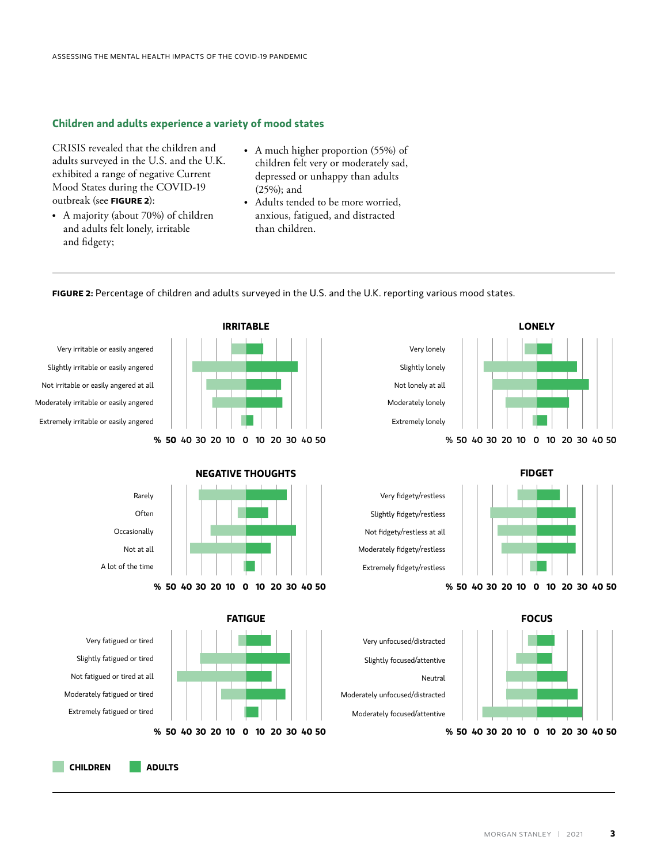#### **Children and adults experience a variety of mood states**

CRISIS revealed that the children and adults surveyed in the U.S. and the U.K. exhibited a range of negative Current Mood States during the COVID-19 outbreak (see **FIGURE 2**):

- A majority (about 70%) of children and adults felt lonely, irritable and fidgety;
- A much higher proportion (55%) of children felt very or moderately sad, depressed or unhappy than adults (25%); and
- Adults tended to be more worried, anxious, fatigued, and distracted than children.

**FIGURE 2:** Percentage of children and adults surveyed in the U.S. and the U.K. reporting various mood states.<br>

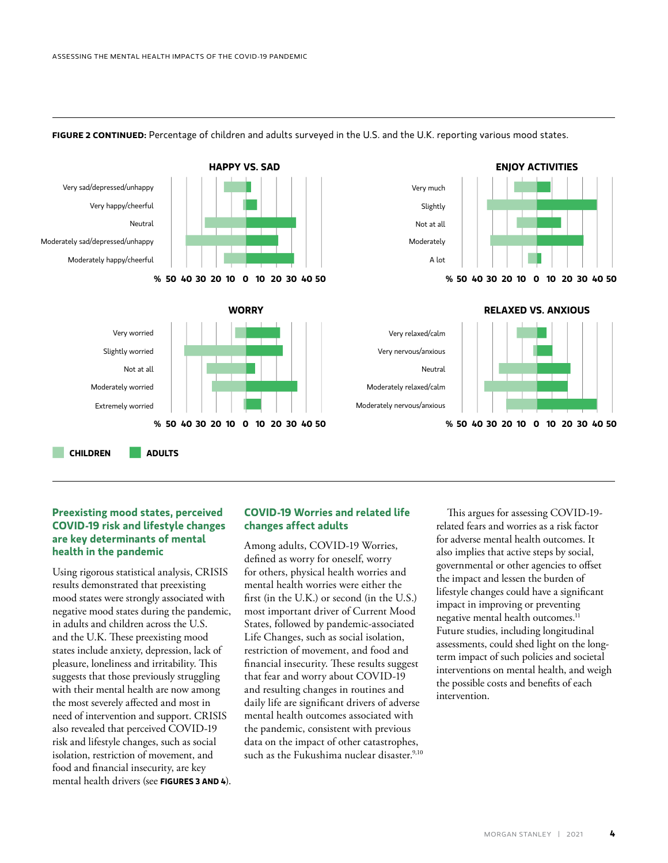$\mathbb{E}_{\mathcal{L}}$ 



#### FIGURE 2 CONTINUED: Percentage of children and adults surveyed in the U.S. and the U.K. reporting various mood states.

Moderately focused/attentive

### **COVID-19 risk and lifestyle changes** are key determinants of mental health in the pandemic **Preexisting mood states, perceived**

Using rigorous statistical analysis, CRISIS states include anxiety, depression, lack of pleasure, loneliness and irritability. This with their mental health are now among the most severely affected and most in need of intervention and support. CRISIS **% 50 40 30 20 10 0 10 20 30 40 50** risk and lifestyle changes, such as social **% 50** 40 30 20 10 0 10 20 30 40 50 results demonstrated that preexisting mood states were strongly associated with negative mood states during the pandemic, in adults and children across the U.S. and the U.K. These preexisting mood suggests that those previously struggling also revealed that perceived COVID-19 isolation, restriction of movement, and food and financial insecurity, are key mental health drivers (see **FIGURES 3 AND 4**).

#### **COVID-19 Worries and related life changes affect adults**

States, followed by pandemic-associated  $\frac{3}{2}$  d with first (in the U.K.) or second (in the U.S.) **% 50 40 30 20 10 0 10 20 30 40 50** data on the impact of other catastrophes, Among adults, COVID-19 Worries, defined as worry for oneself, worry for others, physical health worries and mental health worries were either the most important driver of Current Mood Life Changes, such as social isolation, restriction of movement, and food and financial insecurity. These results suggest that fear and worry about COVID-19 and resulting changes in routines and daily life are significant drivers of adverse mental health outcomes associated with the pandemic, consistent with previous such as the Fukushima nuclear disaster.<sup>9,10</sup>

This argues for assessing COVID-19 related fears and worries as a risk factor for adverse mental health outcomes. It also implies that active steps by social, governmental or other agencies to offset the impact and lessen the burden of lifestyle changes could have a significant impact in improving or preventing negative mental health outcomes.<sup>11</sup> Future studies, including longitudinal assessments, could shed light on the longterm impact of such policies and societal interventions on mental health, and weigh the possible costs and benefits of each intervention.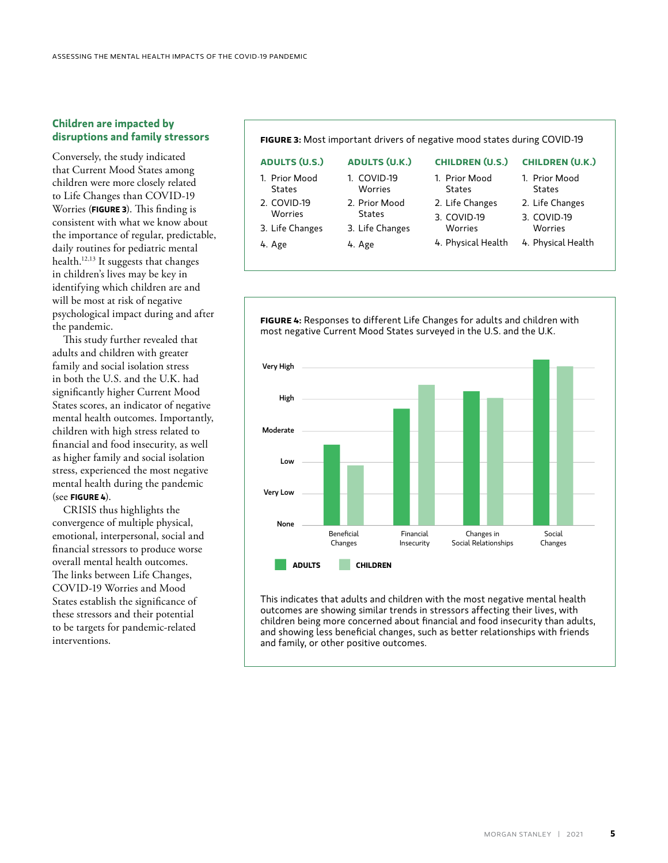#### **Children are impacted by disruptions and family stressors**

Conversely, the study indicated that Current Mood States among children were more closely related to Life Changes than COVID-19 Worries (**FIGURE 3**). This finding is consistent with what we know about the importance of regular, predictable, daily routines for pediatric mental health.12,13 It suggests that changes in children's lives may be key in identifying which children are and will be most at risk of negative psychological impact during and after the pandemic.

This study further revealed that adults and children with greater family and social isolation stress in both the U.S. and the U.K. had significantly higher Current Mood States scores, an indicator of negative mental health outcomes. Importantly, children with high stress related to financial and food insecurity, as well as higher family and social isolation stress, experienced the most negative mental health during the pandemic (see **FIGURE 4**).

CRISIS thus highlights the convergence of multiple physical, emotional, interpersonal, social and financial stressors to produce worse overall mental health outcomes. The links between Life Changes, COVID-19 Worries and Mood States establish the significance of these stressors and their potential to be targets for pandemic-related interventions.

**FIGURE 3:** Most important drivers of negative mood states during COVID-19

| <b>ADULTS (U.S.)</b> | <b>ADULTS (U.K.)</b> |  |  |
|----------------------|----------------------|--|--|
| 1. Prior Mood        | 1. COVID-19          |  |  |
| <b>States</b>        | Worries              |  |  |
| 2. COVID-19          | 2. Prior Mood        |  |  |
| Worries              | <b>States</b>        |  |  |
| 3. Life Changes      | 3. Life Changes      |  |  |

4. Age

- 3. Life Changes 4. Age
- **CHILDREN (U.S.)** 1. Prior Mood States
- 2. Life Changes 3. COVID-19

Worries

- 1. Prior Mood States
- 2. Life Changes

**CHILDREN (U.K.)**

3. COVID-19 Worries

4. Physical Health

4. Physical Health



This indicates that adults and children with the most negative mental health outcomes are showing similar trends in stressors affecting their lives, with children being more concerned about financial and food insecurity than adults, and showing less beneficial changes, such as better relationships with friends and family, or other positive outcomes.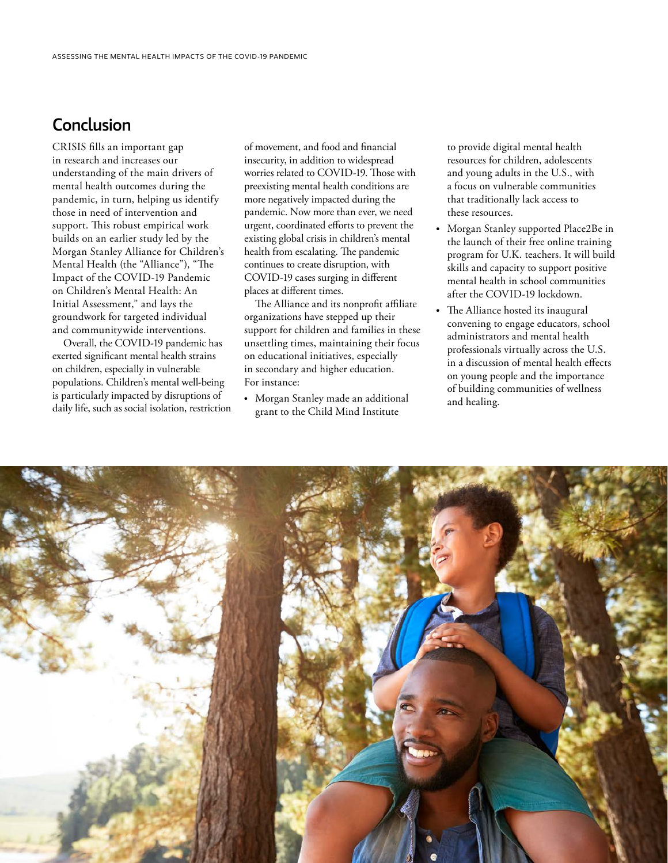## Conclusion

CRISIS fills an important gap in research and increases our understanding of the main drivers of mental health outcomes during the pandemic, in turn, helping us identify those in need of intervention and support. This robust empirical work builds on an earlier study led by the Morgan Stanley Alliance for Children's Mental Health (the "Alliance"), ["The](https://www.morganstanley.com/content/dam/msdotcom/en/assets/pdfs/CAF_MHA_Covid_19_WP.pdf)  [Impact of the COVID-19 Pandemic](https://www.morganstanley.com/content/dam/msdotcom/en/assets/pdfs/CAF_MHA_Covid_19_WP.pdf)  [on Children's Mental Health: An](https://www.morganstanley.com/content/dam/msdotcom/en/assets/pdfs/CAF_MHA_Covid_19_WP.pdf)  [Initial Assessment,"](https://www.morganstanley.com/content/dam/msdotcom/en/assets/pdfs/CAF_MHA_Covid_19_WP.pdf) and lays the groundwork for targeted individual and communitywide interventions.

Overall, the COVID-19 pandemic has exerted significant mental health strains on children, especially in vulnerable populations. Children's mental well-being is particularly impacted by disruptions of daily life, such as social isolation, restriction

of movement, and food and financial insecurity, in addition to widespread worries related to COVID-19. Those with preexisting mental health conditions are more negatively impacted during the pandemic. Now more than ever, we need urgent, coordinated efforts to prevent the existing global crisis in children's mental health from escalating. The pandemic continues to create disruption, with COVID-19 cases surging in different places at different times.

The Alliance and its nonprofit affiliate organizations have stepped up their support for children and families in these unsettling times, maintaining their focus on educational initiatives, especially in secondary and higher education. For instance:

• Morgan Stanley made an additional grant to the Child Mind Institute

to provide digital mental health resources for children, adolescents and young adults in the U.S., with a focus on vulnerable communities that traditionally lack access to these resources.

- Morgan Stanley supported Place2Be in the launch of their free online training program for U.K. teachers. It will build skills and capacity to support positive mental health in school communities after the COVID-19 lockdown.
- The Alliance hosted its inaugural convening to engage educators, school administrators and mental health professionals virtually across the U.S. in a discussion of mental health effects on young people and the importance of building communities of wellness and healing.